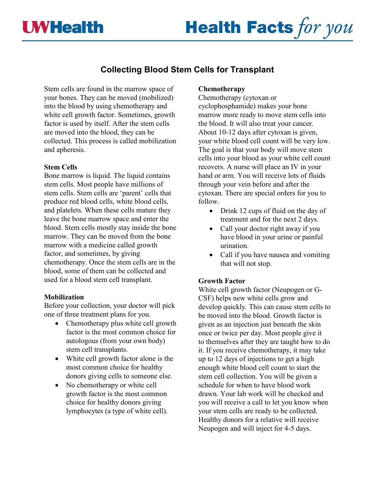## **LWHealth**

# **Health Facts for you**

### **Collecting Blood Stem Cells for Transplant**

Stem cells are found in the marrow space of your bones. They can be moved (mobilized) into the blood by using chemotherapy and white cell growth factor. Sometimes, growth factor is used by itself. After the stem cells are moved into the blood, they can be collected. This process is called mobilization and apheresis.

#### **Stem Cells**

Bone marrow is liquid. The liquid contains stem cells. Most people have millions of stem cells. Stem cells are 'parent' cells that produce red blood cells, white blood cells, and platelets. When these cells mature they leave the bone marrow space and enter the blood. Stem cells mostly stay inside the bone marrow. They can be moved from the bone marrow with a medicine called growth factor, and sometimes, by giving chemotherapy. Once the stem cells are in the blood, some of them can be collected and used for a blood stem cell transplant.

#### **Mobilization**

Before your collection, your doctor will pick one of three treatment plans for you.

- Chemotherapy plus white cell growth factor is the most common choice for autologous (from your own body) stem cell transplants.
- White cell growth factor alone is the most common choice for healthy donors giving cells to someone else.
- No chemotherapy or white cell growth factor is the most common choice for healthy donors giving lymphocytes (a type of white cell).

#### **Chemotherapy**

Chemotherapy (cytoxan or cyclophosphamide) makes your bone marrow more ready to move stem cells into the blood. It will also treat your cancer. About 10-12 days after cytoxan is given, your white blood cell count will be very low. The goal is that your body will move stem cells into your blood as your white cell count recovers. A nurse will place an IV in your hand or arm. You will receive lots of fluids through your vein before and after the cytoxan. There are special orders for you to follow.

- Drink 12 cups of fluid on the day of treatment and for the next 2 days.
- Call your doctor right away if you have blood in your urine or painful urination.
- Call if you have nausea and vomiting that will not stop.

#### **Growth Factor**

White cell growth factor (Neupogen or G-CSF) helps new white cells grow and develop quickly. This can cause stem cells to be moved into the blood. Growth factor is given as an injection just beneath the skin once or twice per day. Most people give it to themselves after they are taught how to do it. If you receive chemotherapy, it may take up to 12 days of injections to get a high enough white blood cell count to start the stem cell collection. You will be given a schedule for when to have blood work drawn. Your lab work will be checked and you will receive a call to let you know when your stem cells are ready to be collected. Healthy donors for a relative will receive Neupogen and will inject for 4-5 days.